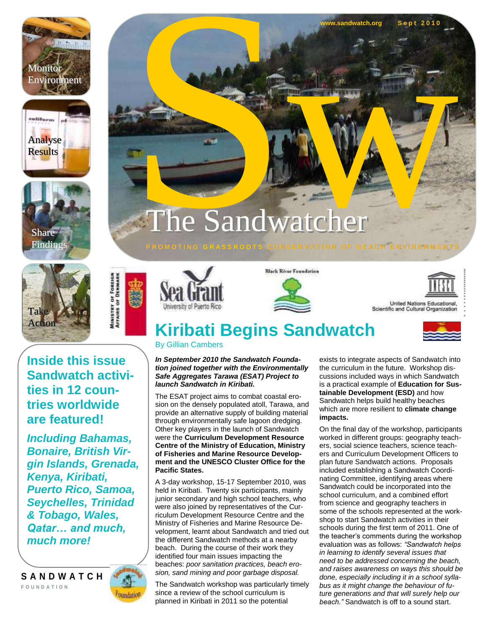







**MINISTRY OF TAIRS OF** 

**Inside this issue Sandwatch activities in 12 countries worldwide are featured!**

*Including Bahamas, Bonaire, British Virgin Islands, Grenada, Kenya, Kiribati, Puerto Rico, Samoa, Seychelles, Trinidad & Tobago, Wales, Qatar… and much, much more!*

**S A N D W A T C H F O U N D A T I O N**





**Black River Foundation** 

**P R O M O T I N G G R A S S R O O T S C O N S E R V A T I O N O F B E A C H E N V I R O N M E N T S**





United Nations Educational, Scientific and Cultural Organization

# **Kiribati Begins Sandwatch**

The Sandwatcher

By Gillian Cambers

#### *In September 2010 the Sandwatch Foundation joined together with the Environmentally Safe Aggregates Tarawa (ESAT) Project to launch Sandwatch in Kiribati.*

The ESAT project aims to combat coastal erosion on the densely populated atoll, Tarawa, and provide an alternative supply of building material through environmentally safe lagoon dredging. Other key players in the launch of Sandwatch were the **Curriculum Development Resource Centre of the Ministry of Education, Ministry of Fisheries and Marine Resource Development and the UNESCO Cluster Office for the Pacific States.** 

A 3-day workshop, 15-17 September 2010, was held in Kiribati. Twenty six participants, mainly junior secondary and high school teachers, who were also joined by representatives of the Curriculum Development Resource Centre and the Ministry of Fisheries and Marine Resource Development, learnt about Sandwatch and tried out the different Sandwatch methods at a nearby beach. During the course of their work they identified four main issues impacting the beaches: *poor sanitation practices, beach erosion, sand mining and poor garbage disposal.*

The Sandwatch workshop was particularly timely since a review of the school curriculum is planned in Kiribati in 2011 so the potential

exists to integrate aspects of Sandwatch into the curriculum in the future. Workshop discussions included ways in which Sandwatch is a practical example of **Education for Sustainable Development (ESD)** and how Sandwatch helps build healthy beaches which are more resilient to **climate change impacts.** 

EXPRESSION OF BEACH ENVIRONMENTS

**watch.org S** 

On the final day of the workshop, participants worked in different groups: geography teachers, social science teachers, science teachers and Curriculum Development Officers to plan future Sandwatch actions. Proposals included establishing a Sandwatch Coordinating Committee, identifying areas where Sandwatch could be incorporated into the school curriculum, and a combined effort from science and geography teachers in some of the schools represented at the workshop to start Sandwatch activities in their schools during the first term of 2011. One of the teacher"s comments during the workshop evaluation was as follows: *"Sandwatch helps in learning to identify several issues that need to be addressed concerning the beach, and raises awareness on ways this should be done, especially including it in a school syllabus as it might change the behaviour of future generations and that will surely help our beach."* Sandwatch is off to a sound start.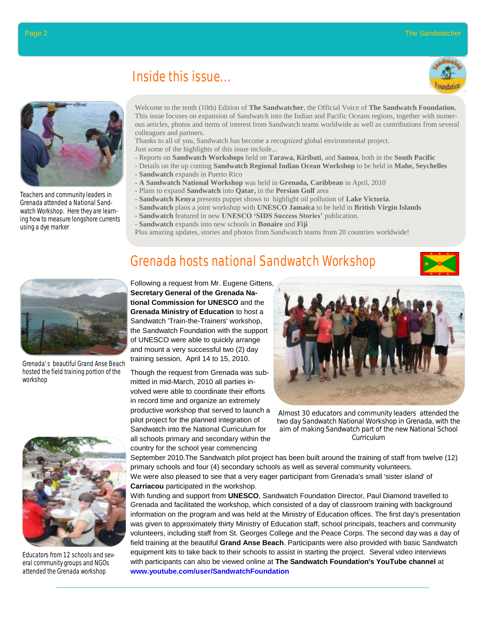

Teachers and community leaders in Grenada attended a National Sandwatch Workshop. Here they are learning how to measure longshore currents using a dye marker

#### Inside this issue...



Welcome to the tenth (10th) Edition of **The Sandwatcher**, the Official Voice of **The Sandwatch Foundation.** This issue focuses on expansion of Sandwatch into the Indian and Pacific Oceans regions, together with numerous articles, photos and items of interest from Sandwatch teams worldwide as well as contributions from several colleagues and partners.

Thanks to all of you, Sandwatch has become a recognized global environmental project. Just some of the highlights of this issue include...

- Reports on **Sandwatch Workshops** held on **Tarawa, Kiribati**, and **Samoa**, both in the **South Pacific**
- Details on the up coming **Sandwatch Regional Indian Ocean Workshop** to be held in **Mahe, Seychelles**
- **Sandwatch** expands in Puerto Rico
- **- A Sandwatch National Workshop** was held in **Grenada, Caribbean** in April, 2010
- Plans to expand **Sandwatch** into **Qatar,** in the **Persian Gulf** area
- **Sandwatch Kenya** presents puppet shows to highlight oil pollution of **Lake Victoria**.
- **- Sandwatch** plans a joint workshop with **UNESCO Jamaica** to be held in **British Virgin Islands**
- **Sandwatch** featured in new **UNESCO 'SIDS Success Stories'** publication.

Grenada hosts national Sandwatch Workshop

- **Sandwatch** expands into new schools in **Bonaire** and **Fiji**
- Plus amazing updates, stories and photos from Sandwatch teams from 20 countries worldwide!



Grenada's beautiful Grand Anse Beach hosted the field training portion of the workshop



Educators from 12 schools and several community groups and NGOs attended the Grenada workshop

Following a request from Mr. Eugene Gittens, **Secretary General of the Grenada National Commission for UNESCO** and the **Grenada Ministry of Education** to host a Sandwatch 'Train-the-Trainers' workshop, the Sandwatch Foundation with the support of UNESCO were able to quickly arrange and mount a very successful two (2) day

Though the request from Grenada was submitted in mid-March, 2010 all parties involved were able to coordinate their efforts in record time and organize an extremely productive workshop that served to launch a pilot project for the planned integration of Sandwatch into the National Curriculum for all schools primary and secondary within the country for the school year commencing



Almost 30 educators and community leaders attended the two day Sandwatch National Workshop in Grenada, with the aim of making Sandwatch part of the new National School Curriculum

September 2010.The Sandwatch pilot project has been built around the training of staff from twelve (12) primary schools and four (4) secondary schools as well as several community volunteers. We were also pleased to see that a very eager participant from Grenada's small 'sister island' of **Carriacou** participated in the workshop.

With funding and support from **UNESCO**, Sandwatch Foundation Director, Paul Diamond travelled to Grenada and facilitated the workshop, which consisted of a day of classroom training with background information on the program and was held at the Ministry of Education offices. The first day's presentation was given to approximately thirty Ministry of Education staff, school principals, teachers and community volunteers, including staff from St. Georges College and the Peace Corps. The second day was a day of field training at the beautiful **Grand Anse Beach**. Participants were also provided with basic Sandwatch equipment kits to take back to their schools to assist in starting the project. Several video interviews with participants can also be viewed online at **The Sandwatch Foundation's YouTube channel** at **www.youtube.com/user/SandwatchFoundation**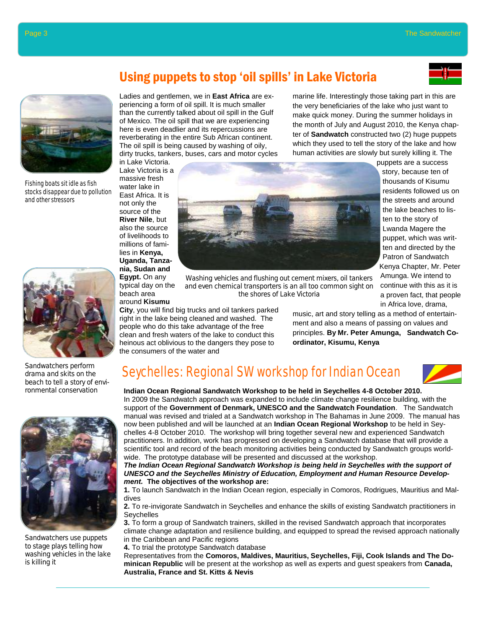story, because ten of thousands of Kisumu residents followed us on the streets and around the lake beaches to listen to the story of Lwanda Magere the puppet, which was written and directed by the Patron of Sandwatch

Amunga. We intend to continue with this as it is a proven fact, that people





Fishing boats sit idle as fish stocks disappear due to pollution and other stressors



Sandwatchers perform drama and skits on the beach to tell a story of environmental conservation



Sandwatchers use puppets to stage plays telling how washing vehicles in the lake is killing it

### Using puppets to stop "oil spills" in Lake Victoria

Ladies and gentlemen, we in **East Africa** are experiencing a form of oil spill. It is much smaller than the currently talked about oil spill in the Gulf of Mexico. The oil spill that we are experiencing here is even deadlier and its repercussions are reverberating in the entire Sub African continent. The oil spill is being caused by washing of oily, dirty trucks, tankers, buses, cars and motor cycles in Lake Victoria.

Lake Victoria is a massive fresh water lake in East Africa. It is not only the source of the **River Nile**, but also the source of livelihoods to millions of families in **Kenya, Uganda, Tanzania, Sudan and Egypt.** On any typical day on the beach area around **Kisumu** 



Washing vehicles and flushing out cement mixers, oil tankers and even chemical transporters is an all too common sight on the shores of Lake Victoria

**City**, you will find big trucks and oil tankers parked right in the lake being cleaned and washed. The people who do this take advantage of the free clean and fresh waters of the lake to conduct this heinous act oblivious to the dangers they pose to the consumers of the water and

in Africa love, drama, music, art and story telling as a method of entertainment and also a means of passing on values and principles. **By Mr. Peter Amunga, Sandwatch Coordinator, Kisumu, Kenya**

marine life. Interestingly those taking part in this are the very beneficiaries of the lake who just want to make quick money. During the summer holidays in the month of July and August 2010, the Kenya chapter of **Sandwatch** constructed two (2) huge puppets which they used to tell the story of the lake and how human activities are slowly but surely killing it. The

### Seychelles: Regional SW workshop for Indian Ocean



**Indian Ocean Regional Sandwatch Workshop to be held in Seychelles 4-8 October 2010.** In 2009 the Sandwatch approach was expanded to include climate change resilience building, with the support of the **Government of Denmark, UNESCO and the Sandwatch Foundation**. The Sandwatch manual was revised and trialed at a Sandwatch workshop in The Bahamas in June 2009. The manual has now been published and will be launched at an **Indian Ocean Regional Workshop** to be held in Seychelles 4-8 October 2010. The workshop will bring together several new and experienced Sandwatch practitioners. In addition, work has progressed on developing a Sandwatch database that will provide a scientific tool and record of the beach monitoring activities being conducted by Sandwatch groups worldwide. The prototype database will be presented and discussed at the workshop.

*The Indian Ocean Regional Sandwatch Workshop is being held in Seychelles with the support of UNESCO and the Seychelles Ministry of Education, Employment and Human Resource Development.* **The objectives of the workshop are:**

**1.** To launch Sandwatch in the Indian Ocean region, especially in Comoros, Rodrigues, Mauritius and Maldives

**2.** To re-invigorate Sandwatch in Seychelles and enhance the skills of existing Sandwatch practitioners in Seychelles

**3.** To form a group of Sandwatch trainers, skilled in the revised Sandwatch approach that incorporates climate change adaptation and resilience building, and equipped to spread the revised approach nationally in the Caribbean and Pacific regions

**4.** To trial the prototype Sandwatch database

Representatives from the **Comoros, Maldives, Mauritius, Seychelles, Fiji, Cook Islands and The Dominican Republic** will be present at the workshop as well as experts and guest speakers from **Canada, Australia, France and St. Kitts & Nevis**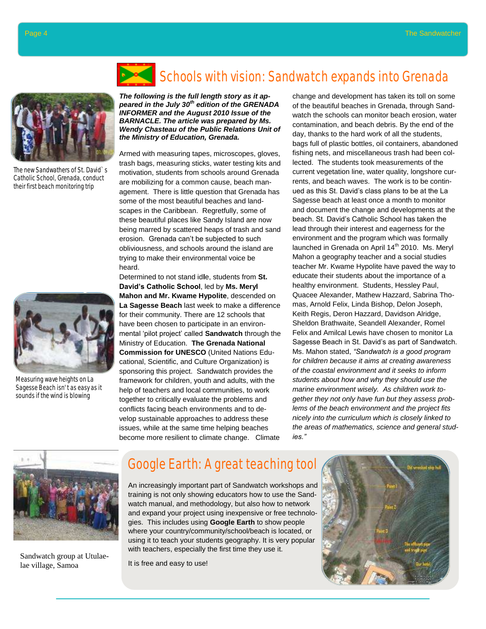

The new Sandwathers of St. David`s Catholic School, Grenada, conduct their first beach monitoring trip



Measuring wave heights on La Sagesse Beach isn't as easy as it sounds if the wind is blowing



## Schools with vision: Sandwatch expands into Grenada

*The following is the full length story as it appeared in the July 30th edition of the GRENADA INFORMER and the August 2010 Issue of the BARNACLE. The article was prepared by Ms. Wendy Chasteau of the Public Relations Unit of the Ministry of Education, Grenada.*

Armed with measuring tapes, microscopes, gloves, trash bags, measuring sticks, water testing kits and motivation, students from schools around Grenada are mobilizing for a common cause, beach management. There is little question that Grenada has some of the most beautiful beaches and landscapes in the Caribbean. Regretfully, some of these beautiful places like Sandy Island are now being marred by scattered heaps of trash and sand erosion. Grenada can"t be subjected to such obliviousness, and schools around the island are trying to make their environmental voice be heard.

Determined to not stand id**l**e, students from **St. David's Catholic School**, led by **Ms. Meryl Mahon and Mr. Kwame Hypolite**, descended on **La Sagesse Beach** last week to make a difference for their community. There are 12 schools that have been chosen to participate in an environmental "pilot project" called **Sandwatch** through the Ministry of Education. **The Grenada National Commission for UNESCO** (United Nations Educational, Scientific, and Culture Organization) is sponsoring this project. Sandwatch provides the framework for children, youth and adults, with the help of teachers and local communities, to work together to critically evaluate the problems and conflicts facing beach environments and to develop sustainable approaches to address these issues, while at the same time helping beaches become more resilient to climate change. Climate

change and development has taken its toll on some of the beautiful beaches in Grenada, through Sandwatch the schools can monitor beach erosion, water contamination, and beach debris. By the end of the day, thanks to the hard work of all the students, bags full of plastic bottles, oil containers, abandoned fishing nets, and miscellaneous trash had been collected. The students took measurements of the current vegetation line, water quality, longshore currents, and beach waves. The work is to be continued as this St. David"s class plans to be at the La Sagesse beach at least once a month to monitor and document the change and developments at the beach. St. David"s Catholic School has taken the lead through their interest and eagerness for the environment and the program which was formally launched in Grenada on April 14<sup>th</sup> 2010. Ms. Meryl Mahon a geography teacher and a social studies teacher Mr. Kwame Hypolite have paved the way to educate their students about the importance of a healthy environment. Students, Hessley Paul, Quacee Alexander, Mathew Hazzard, Sabrina Thomas, Arnold Felix, Linda Bishop, Delon Joseph, Keith Regis, Deron Hazzard, Davidson Alridge, Sheldon Brathwaite, Seandell Alexander, Romel Felix and Amilcal Lewis have chosen to monitor La Sagesse Beach in St. David"s as part of Sandwatch. Ms. Mahon stated, *"Sandwatch is a good program for children because it aims at creating awareness of the coastal environment and it seeks to inform students about how and why they should use the marine environment wisely. As children work together they not only have fun but they assess problems of the beach environment and the project fits nicely into the curriculum which is closely linked to the areas of mathematics, science and general studies."*



Sandwatch group at Utulaelae village, Samoa

#### Google Earth: A great teaching tool

An increasingly important part of Sandwatch workshops and training is not only showing educators how to use the Sandwatch manual, and methodology, but also how to network and expand your project using inexpensive or free technologies. This includes using **Google Earth** to show people where your country/community/school/beach is located, or using it to teach your students geography. It is very popular with teachers, especially the first time they use it.

It is free and easy to use!

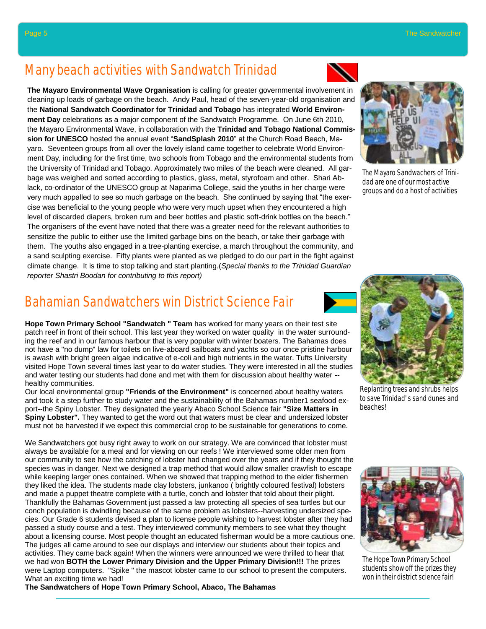#### Many beach activities with Sandwatch Trinidad

**The Mayaro Environmental Wave Organisation** is calling for greater governmental involvement in cleaning up loads of garbage on the beach. Andy Paul, head of the seven-year-old organisation and the **National Sandwatch Coordinator for Trinidad and Tobago** has integrated **World Environment Day** celebrations as a major component of the Sandwatch Programme. On June 6th 2010, the Mayaro Environmental Wave, in collaboration with the **Trinidad and Tobago National Commission for UNESCO** hosted the annual event "**SandSplash 2010**" at the Church Road Beach, Mayaro. Seventeen groups from all over the lovely island came together to celebrate World Environment Day, including for the first time, two schools from Tobago and the environmental students from the University of Trinidad and Tobago. Approximately two miles of the beach were cleaned. All garbage was weighed and sorted according to plastics, glass, metal, styrofoam and other. Shari Ablack, co-ordinator of the UNESCO group at Naparima College, said the youths in her charge were very much appalled to see so much garbage on the beach. She continued by saying that "the exercise was beneficial to the young people who were very much upset when they encountered a high level of discarded diapers, broken rum and beer bottles and plastic soft-drink bottles on the beach." The organisers of the event have noted that there was a greater need for the relevant authorities to sensitize the public to either use the limited garbage bins on the beach, or take their garbage with them. The youths also engaged in a tree-planting exercise, a march throughout the community, and a sand sculpting exercise. Fifty plants were planted as we pledged to do our part in the fight against climate change. It is time to stop talking and start planting.(*Special thanks to the Trinidad Guardian reporter Shastri Boodan for contributing to this report)*

#### Bahamian Sandwatchers win District Science Fair

**Hope Town Primary School "Sandwatch " Team** has worked for many years on their test site patch reef in front of their school. This last year they worked on water quality in the water surrounding the reef and in our famous harbour that is very popular with winter boaters. The Bahamas does not have a "no dump" law for toilets on live-aboard sailboats and yachts so our once pristine harbour is awash with bright green algae indicative of e-coli and high nutrients in the water. Tufts University visited Hope Town several times last year to do water studies. They were interested in all the studies and water testing our students had done and met with them for discussion about healthy water - healthy communities.

Our local environmental group **"Friends of the Environment"** is concerned about healthy waters and took it a step further to study water and the sustainability of the Bahamas number1 seafood export--the Spiny Lobster. They designated the yearly Abaco School Science fair **"Size Matters in Spiny Lobster".** They wanted to get the word out that waters must be clear and undersized lobster must not be harvested if we expect this commercial crop to be sustainable for generations to come.

We Sandwatchers got busy right away to work on our strategy. We are convinced that lobster must always be available for a meal and for viewing on our reefs ! We interviewed some older men from our community to see how the catching of lobster had changed over the years and if they thought the species was in danger. Next we designed a trap method that would allow smaller crawfish to escape while keeping larger ones contained. When we showed that trapping method to the elder fishermen they liked the idea. The students made clay lobsters, junkanoo ( brightly coloured festival) lobsters and made a puppet theatre complete with a turtle, conch and lobster that told about their plight. Thankfully the Bahamas Government just passed a law protecting all species of sea turtles but our conch population is dwindling because of the same problem as lobsters--harvesting undersized species. Our Grade 6 students devised a plan to license people wishing to harvest lobster after they had passed a study course and a test. They interviewed community members to see what they thought about a licensing course. Most people thought an educated fisherman would be a more cautious one. The judges all came around to see our displays and interview our students about their topics and activities. They came back again! When the winners were announced we were thrilled to hear that we had won **BOTH the Lower Primary Division and the Upper Primary Division!!!** The prizes were Laptop computers. "Spike " the mascot lobster came to our school to present the computers. What an exciting time we had!

**The Sandwatchers of Hope Town Primary School, Abaco, The Bahamas**





The Mayaro Sandwachers of Trinidad are one of our most active groups and do a host of activities



Replanting trees and shrubs helps to save Trinidad's sand dunes and beaches!



The Hope Town Primary School students show off the prizes they won in their district science fair!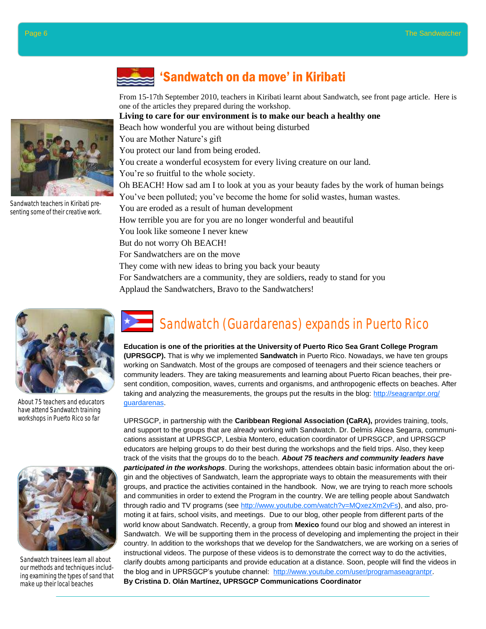

Sandwatch teachers in Kiribati presenting some of their creative work.



About 75 teachers and educators have attend Sandwatch training workshops in Puerto Rico so far



Sandwatch trainees learn all about our methods and techniques including examining the types of sand that make up their local beaches

### "Sandwatch on da move" in Kiribati

From 15-17th September 2010, teachers in Kiribati learnt about Sandwatch, see front page article. Here is one of the articles they prepared during the workshop.

#### **Living to care for our environment is to make our beach a healthy one**

Beach how wonderful you are without being disturbed

You are Mother Nature's gift

You protect our land from being eroded.

You create a wonderful ecosystem for every living creature on our land.

You're so fruitful to the whole society.

Oh BEACH! How sad am I to look at you as your beauty fades by the work of human beings You've been polluted; you've become the home for solid wastes, human wastes. You are eroded as a result of human development How terrible you are for you are no longer wonderful and beautiful You look like someone I never knew But do not worry Oh BEACH! For Sandwatchers are on the move They come with new ideas to bring you back your beauty For Sandwatchers are a community, they are soldiers, ready to stand for you Applaud the Sandwatchers, Bravo to the Sandwatchers!

## Sandwatch (Guardarenas) expands in Puerto Rico

**Education is one of the priorities at the University of Puerto Rico Sea Grant College Program (UPRSGCP).** That is why we implemented **Sandwatch** in Puerto Rico. Nowadays, we have ten groups working on Sandwatch. Most of the groups are composed of teenagers and their science teachers or community leaders. They are taking measurements and learning about Puerto Rican beaches, their present condition, composition, waves, currents and organisms, and anthropogenic effects on beaches. After taking and analyzing the measurements, the groups put the results in the blog: http://seagrantpr.org/ guardarenas.

UPRSGCP, in partnership with the **Caribbean Regional Association (CaRA),** provides training, tools, and support to the groups that are already working with Sandwatch. Dr. Delmis Alicea Segarra, communications assistant at UPRSGCP, Lesbia Montero, education coordinator of UPRSGCP, and UPRSGCP educators are helping groups to do their best during the workshops and the field trips. Also, they keep track of the visits that the groups do to the beach. *About 75 teachers and community leaders have participated in the workshops*. During the workshops, attendees obtain basic information about the origin and the objectives of Sandwatch, learn the appropriate ways to obtain the measurements with their groups, and practice the activities contained in the handbook. Now, we are trying to reach more schools and communities in order to extend the Program in the country. We are telling people about Sandwatch through radio and TV programs (see http://www.youtube.com/watch?v=MQxezXm2vFs), and also, promoting it at fairs, school visits, and meetings. Due to our blog, other people from different parts of the world know about Sandwatch. Recently, a group from **Mexico** found our blog and showed an interest in Sandwatch. We will be supporting them in the process of developing and implementing the project in their country. In addition to the workshops that we develop for the Sandwatchers, we are working on a series of instructional videos. The purpose of these videos is to demonstrate the correct way to do the activities, clarify doubts among participants and provide education at a distance. Soon, people will find the videos in the blog and in UPRSGCP's youtube channel: http://www.youtube.com/user/programaseagrantpr. **By Cristina D. Olán Martínez, UPRSGCP Communications Coordinator**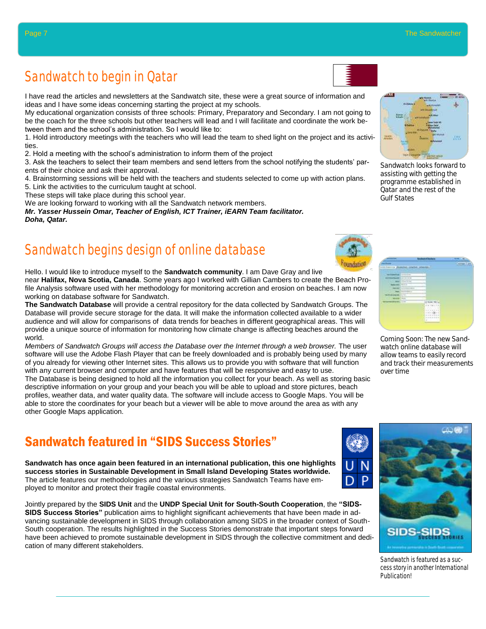### Sandwatch to begin in Qatar

I have read the articles and newsletters at the Sandwatch site, these were a great source of information and ideas and I have some ideas concerning starting the project at my schools.

My educational organization consists of three schools: Primary, Preparatory and Secondary. I am not going to be the coach for the three schools but other teachers will lead and I will facilitate and coordinate the work between them and the school's administration. So I would like to:

1. Hold introductory meetings with the teachers who will lead the team to shed light on the project and its activities.

2. Hold a meeting with the school"s administration to inform them of the project

3. Ask the teachers to select their team members and send letters from the school notifying the students" parents of their choice and ask their approval.

4. Brainstorming sessions will be held with the teachers and students selected to come up with action plans.

5. Link the activities to the curriculum taught at school.

These steps will take place during this school year.

We are looking forward to working with all the Sandwatch network members.

*Mr. Yasser Hussein Omar, Teacher of English, ICT Trainer, iEARN Team facilitator. Doha, Qatar.*

### Sandwatch begins design of online database

Hello. I would like to introduce myself to the **Sandwatch community**. I am Dave Gray and live near **Halifax, Nova Scotia, Canada**. Some years ago I worked with Gillian Cambers to create the Beach Profile Analysis software used with her methodology for monitoring accretion and erosion on beaches. I am now working on database software for Sandwatch.

**The Sandwatch Database** will provide a central repository for the data collected by Sandwatch Groups. The Database will provide secure storage for the data. It will make the information collected available to a wider audience and will allow for comparisons of data trends for beaches in different geographical areas. This will provide a unique source of information for monitoring how climate change is affecting beaches around the world.

*Members of Sandwatch Groups will access the Database over the Internet through a web browser.* The user software will use the Adobe Flash Player that can be freely downloaded and is probably being used by many of you already for viewing other Internet sites. This allows us to provide you with software that will function with any current browser and computer and have features that will be responsive and easy to use. The Database is being designed to hold all the information you collect for your beach. As well as storing basic descriptive information on your group and your beach you will be able to upload and store pictures, beach profiles, weather data, and water quality data. The software will include access to Google Maps. You will be able to store the coordinates for your beach but a viewer will be able to move around the area as with any other Google Maps application.

### Sandwatch featured in "SIDS Success Stories"

**Sandwatch has once again been featured in an international publication, this one highlights success stories in Sustainable Development in Small Island Developing States worldwide.**  The article features our methodologies and the various strategies Sandwatch Teams have employed to monitor and protect their fragile coastal environments.

Jointly prepared by the **SIDS Unit** and the **UNDP Special Unit for South-South Cooperation**, the **"SIDS-SIDS Success Stories"** publication aims to highlight significant achievements that have been made in advancing sustainable development in SIDS through collaboration among SIDS in the broader context of South-South cooperation. The results highlighted in the Success Stories demonstrate that important steps forward have been achieved to promote sustainable development in SIDS through the collective commitment and dedication of many different stakeholders.





programme established in Qatar and the rest of the Gulf States



Coming Soon: The new Sandwatch online database will allow teams to easily record and track their measurements over time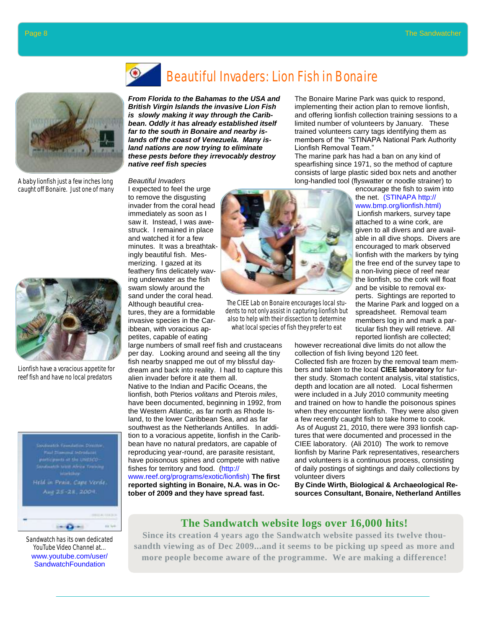

A baby lionfish just a few inches long caught off Bonaire. Just one of many



Lionfish have a voracious appetite for reef fish and have no local predators



Sandwatch has its own dedicated YouTube Video Channel at... www.youtube.com/user/ **SandwatchFoundation** 

### Beautiful Invaders: Lion Fish in Bonaire

*From Florida to the Bahamas to the USA and British Virgin Islands the invasive Lion Fish is slowly making it way through the Caribbean. Oddly it has already established itself far to the south in Bonaire and nearby islands off the coast of Venezuela. Many island nations are now trying to eliminate these pests before they irrevocably destroy native reef fish species* 

large numbers of small reef fish and crustaceans per day. Looking around and seeing all the tiny fish nearby snapped me out of my blissful daydream and back into reality. I had to capture this

Native to the Indian and Pacific Oceans, the lionfish, both Pterios *volitans* and Pterois *miles*, have been documented, beginning in 1992, from the Western Atlantic, as far north as Rhode Island, to the lower Caribbean Sea, and as far southwest as the Netherlands Antilles. In addition to a voracious appetite, lionfish in the Caribbean have no natural predators, are capable of reproducing year-round, are parasite resistant, have poisonous spines and compete with native

alien invader before it ate them all.

fishes for territory and food. (http://

www.reef.org/programs/exotic/lionfish) **The first reported sighting in Bonaire, N.A. was in October of 2009 and they have spread fast.** 

#### *Beautiful Invaders*

I expected to feel the urge to remove the disgusting invader from the coral head immediately as soon as I saw it. Instead, I was awestruck. I remained in place and watched it for a few minutes. It was a breathtakingly beautiful fish. Mesmerizing. I gazed at its feathery fins delicately waving underwater as the fish swam slowly around the sand under the coral head. Although beautiful creatures, they are a formidable invasive species in the Caribbean, with voracious appetites, capable of eating



The CIEE Lab on Bonaire encourages local students to not only assist in capturing lionfish but also to help with their dissection to determine what local species of fish they prefer to eat

The Bonaire Marine Park was quick to respond, implementing their action plan to remove lionfish, and offering lionfish collection training sessions to a limited number of volunteers by January. These trained volunteers carry tags identifying them as members of the "STINAPA National Park Authority Lionfish Removal Team."

The marine park has had a ban on any kind of spearfishing since 1971, so the method of capture consists of large plastic sided box nets and another long-handled tool (flyswatter or noodle strainer) to

> encourage the fish to swim into the net. (STINAPA http:// www.bmp.org/lionfish.html)

Lionfish markers, survey tape attached to a wine cork, are given to all divers and are available in all dive shops. Divers are encouraged to mark observed lionfish with the markers by tying the free end of the survey tape to a non-living piece of reef near the lionfish, so the cork will float and be visible to removal experts. Sightings are reported to the Marine Park and logged on a spreadsheet. Removal team members log in and mark a particular fish they will retrieve. All reported lionfish are collected;

however recreational dive limits do not allow the collection of fish living beyond 120 feet. Collected fish are frozen by the removal team members and taken to the local **CIEE laboratory** for further study. Stomach content analysis, vital statistics, depth and location are all noted. Local fishermen were included in a July 2010 community meeting and trained on how to handle the poisonous spines when they encounter lionfish. They were also given a few recently caught fish to take home to cook. As of August 21, 2010, there were 393 lionfish captures that were documented and processed in the CIEE laboratory. (Ali 2010) The work to remove lionfish by Marine Park representatives, researchers and volunteers is a continuous process, consisting of daily postings of sightings and daily collections by volunteer divers

**By Cinde Wirth, Biological & Archaeological Resources Consultant, Bonaire, Netherland Antilles** 

#### **The Sandwatch website logs over 16,000 hits!**

**Since its creation 4 years ago the Sandwatch website passed its twelve thousandth viewing as of Dec 2009...and it seems to be picking up speed as more and more people become aware of the programme. We are making a difference!**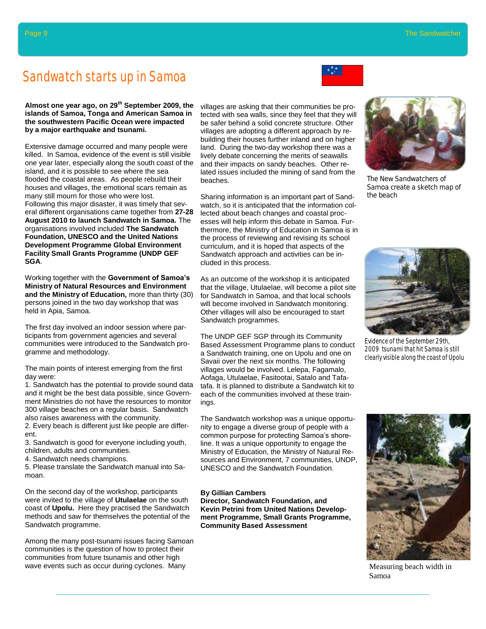#### Sandwatch starts up in Samoa

# **Almost one year ago, on 29th September 2009, the**

**islands of Samoa, Tonga and American Samoa in the southwestern Pacific Ocean were impacted by a major earthquake and tsunami.** 

Extensive damage occurred and many people were killed. In Samoa, evidence of the event is still visible one year later, especially along the south coast of the island, and it is possible to see where the sea flooded the coastal areas. As people rebuild their houses and villages, the emotional scars remain as many still mourn for those who were lost. Following this major disaster, it was timely that several different organisations came together from **27-28 August 2010 to launch Sandwatch in Samoa.** The organisations involved included **The Sandwatch Foundation, UNESCO and the United Nations Development Programme Global Environment Facility Small Grants Programme (UNDP GEF SGA**.

Working together with the **Government of Samoa's Ministry of Natural Resources and Environment and the Ministry of Education,** more than thirty (30) persons joined in the two day workshop that was held in Apia, Samoa.

The first day involved an indoor session where participants from government agencies and several communities were introduced to the Sandwatch programme and methodology.

The main points of interest emerging from the first day were:

1. Sandwatch has the potential to provide sound data and it might be the best data possible, since Government Ministries do not have the resources to monitor 300 village beaches on a regular basis. Sandwatch also raises awareness with the community.

2. Every beach is different just like people are different.

3. Sandwatch is good for everyone including youth, children, adults and communities.

4. Sandwatch needs champions.

5. Please translate the Sandwatch manual into Samoan.

On the second day of the workshop, participants were invited to the village of **Utulaelae** on the south coast of **Upolu.** Here they practised the Sandwatch methods and saw for themselves the potential of the Sandwatch programme.

Among the many post-tsunami issues facing Samoan communities is the question of how to protect their communities from future tsunamis and other high wave events such as occur during cyclones. Many

villages are asking that their communities be protected with sea walls, since they feel that they will be safer behind a solid concrete structure. Other villages are adopting a different approach by rebuilding their houses further inland and on higher land. During the two-day workshop there was a lively debate concerning the merits of seawalls and their impacts on sandy beaches. Other related issues included the mining of sand from the beaches.

Sharing information is an important part of Sandwatch, so it is anticipated that the information collected about beach changes and coastal processes will help inform this debate in Samoa. Furthermore, the Ministry of Education in Samoa is in the process of reviewing and revising its school curriculum, and it is hoped that aspects of the Sandwatch approach and activities can be included in this process.

As an outcome of the workshop it is anticipated that the village, Utulaelae, will become a pilot site for Sandwatch in Samoa, and that local schools will become involved in Sandwatch monitoring. Other villages will also be encouraged to start Sandwatch programmes*.*

The UNDP GEF SGP through its Community Based Assessment Programme plans to conduct a Sandwatch training, one on Upolu and one on Savaii over the next six months. The following villages would be involved. Lelepa, Fagamalo, Aofaga, Utulaelae, Fasitootai, Satalo and Tafatafa. It is planned to distribute a Sandwatch kit to each of the communities involved at these trainings.

The Sandwatch workshop was a unique opportunity to engage a diverse group of people with a common purpose for protecting Samoa"s shoreline. It was a unique opportunity to engage the Ministry of Education, the Ministry of Natural Resources and Environment, 7 communities, UNDP, UNESCO and the Sandwatch Foundation.

#### **By Gillian Cambers**

**Director, Sandwatch Foundation, and Kevin Petrini from United Nations Development Programme, Small Grants Programme, Community Based Assessment** 



The New Sandwatchers of Samoa create a sketch map of the beach



Evidence of the September 29th, 2009 tsunami that hit Samoa is still clearly visible along the coast of Upolu



Measuring beach width in Samoa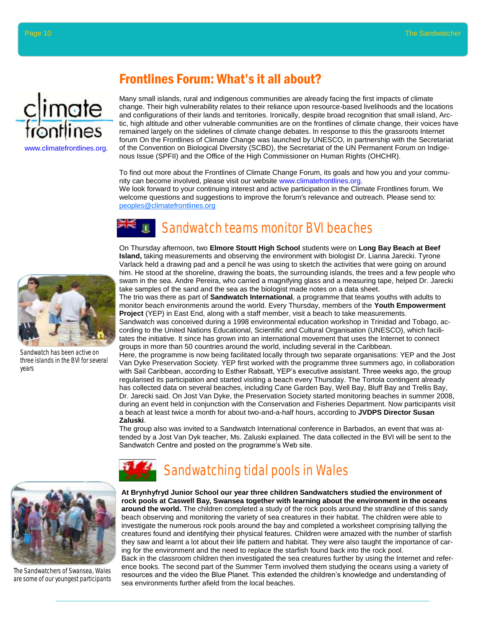

#### Frontlines Forum: What"s it all about?

Many small islands, rural and indigenous communities are already facing the first impacts of climate change. Their high vulnerability relates to their reliance upon resource-based livelihoods and the locations and configurations of their lands and territories. Ironically, despite broad recognition that small island, Arctic, high altitude and other vulnerable communities are on the frontlines of climate change, their voices have remained largely on the sidelines of climate change debates. In response to this the grassroots Internet forum On the Frontlines of Climate Change was launched by UNESCO, in partnership with the Secretariat of the Convention on Biological Diversity (SCBD), the Secretariat of the UN Permanent Forum on Indigenous Issue (SPFII) and the Office of the High Commissioner on Human Rights (OHCHR).

To find out more about the Frontlines of Climate Change Forum, its goals and how you and your community can become involved, please visit our website www.climatefrontlines.org. We look forward to your continuing interest and active participation in the Climate Frontlines forum. We welcome questions and suggestions to improve the forum's relevance and outreach. Please send to: peoples@climatefrontlines.org

## Sandwatch teams monitor BVI beaches



Sandwatch has been active on three islands in the BVI for several years

On Thursday afternoon, two **Elmore Stoutt High School** students were on **Long Bay Beach at Beef Island,** taking measurements and observing the environment with biologist Dr. Lianna Jarecki. Tyrone Varlack held a drawing pad and a pencil he was using to sketch the activities that were going on around him. He stood at the shoreline, drawing the boats, the surrounding islands, the trees and a few people who swam in the sea. Andre Pereira, who carried a magnifying glass and a measuring tape, helped Dr. Jarecki take samples of the sand and the sea as the biologist made notes on a data sheet.

The trio was there as part of **Sandwatch International**, a programme that teams youths with adults to monitor beach environments around the world. Every Thursday, members of the **Youth Empowerment Project** (YEP) in East End, along with a staff member, visit a beach to take measurements.

Sandwatch was conceived during a 1998 environmental education workshop in Trinidad and Tobago, according to the United Nations Educational, Scientific and Cultural Organisation (UNESCO), which facilitates the initiative. It since has grown into an international movement that uses the Internet to connect groups in more than 50 countries around the world, including several in the Caribbean.

Here, the programme is now being facilitated locally through two separate organisations: YEP and the Jost Van Dyke Preservation Society. YEP first worked with the programme three summers ago, in collaboration with Sail Caribbean, according to Esther Rabsatt, YEP"s executive assistant. Three weeks ago, the group regularised its participation and started visiting a beach every Thursday. The Tortola contingent already has collected data on several beaches, including Cane Garden Bay, Well Bay, Bluff Bay and Trellis Bay, Dr. Jarecki said. On Jost Van Dyke, the Preservation Society started monitoring beaches in summer 2008, during an event held in conjunction with the Conservation and Fisheries Department. Now participants visit a beach at least twice a month for about two-and-a-half hours, according to **JVDPS Director Susan Zaluski**.

The group also was invited to a Sandwatch International conference in Barbados, an event that was attended by a Jost Van Dyk teacher, Ms. Zaluski explained. The data collected in the BVI will be sent to the Sandwatch Centre and posted on the programme"s Web site.



The Sandwatchers of Swansea, Wales are some of our youngest participants



**At Brynhyfryd Junior School our year three children Sandwatchers studied the environment of rock pools at Caswell Bay, Swansea together with learning about the environment in the oceans around the world.** The children completed a study of the rock pools around the strandline of this sandy beach observing and monitoring the variety of sea creatures in their habitat. The children were able to investigate the numerous rock pools around the bay and completed a worksheet comprising tallying the creatures found and identifying their physical features. Children were amazed with the number of starfish they saw and learnt a lot about their life pattern and habitat. They were also taught the importance of caring for the environment and the need to replace the starfish found back into the rock pool.

Back in the classroom children then investigated the sea creatures further by using the Internet and reference books. The second part of the Summer Term involved them studying the oceans using a variety of resources and the video the Blue Planet. This extended the children"s knowledge and understanding of sea environments further afield from the local beaches.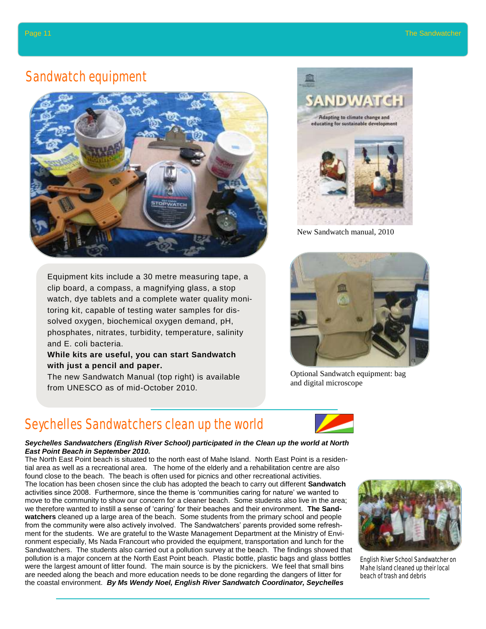#### Sandwatch equipment



Equipment kits include a 30 metre measuring tape, a clip board, a compass, a magnifying glass, a stop watch, dye tablets and a complete water quality monitoring kit, capable of testing water samples for dissolved oxygen, biochemical oxygen demand, pH, phosphates, nitrates, turbidity, temperature, salinity and E. coli bacteria.

#### **While kits are useful, you can start Sandwatch with just a pencil and paper.**

The new Sandwatch Manual (top right) is available from UNESCO as of mid-October 2010.

### Seychelles Sandwatchers clean up the world



#### *Seychelles Sandwatchers (English River School) participated in the Clean up the world at North East Point Beach in September 2010.*

The North East Point beach is situated to the north east of Mahe Island. North East Point is a residential area as well as a recreational area. The home of the elderly and a rehabilitation centre are also found close to the beach. The beach is often used for picnics and other recreational activities. The location has been chosen since the club has adopted the beach to carry out different **Sandwatch** activities since 2008. Furthermore, since the theme is "communities caring for nature" we wanted to move to the community to show our concern for a cleaner beach. Some students also live in the area; we therefore wanted to instill a sense of "caring" for their beaches and their environment. **The Sandwatchers** cleaned up a large area of the beach. Some students from the primary school and people from the community were also actively involved. The Sandwatchers" parents provided some refreshment for the students. We are grateful to the Waste Management Department at the Ministry of Environment especially, Ms Nada Francourt who provided the equipment, transportation and lunch for the Sandwatchers. The students also carried out a pollution survey at the beach. The findings showed that pollution is a major concern at the North East Point beach. Plastic bottle, plastic bags and glass bottles were the largest amount of litter found. The main source is by the picnickers. We feel that small bins are needed along the beach and more education needs to be done regarding the dangers of litter for the coastal environment. *By Ms Wendy Noel, English River Sandwatch Coordinator, Seychelles*



New Sandwatch manual, 2010



Optional Sandwatch equipment: bag and digital microscope



English River School Sandwatcher on Mahe Island cleaned up their local beach of trash and debris